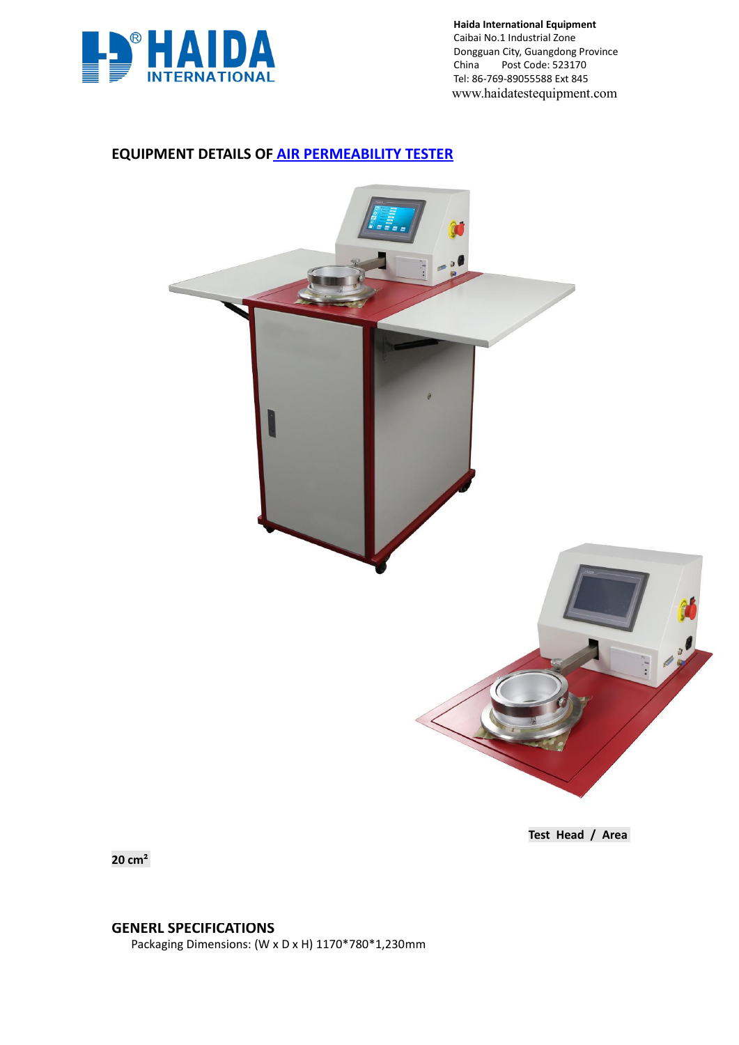

**Haida International Equipment** Caibai No.1 Industrial Zone Dongguan City, Guangdong Province<br>China Post Code: 523170 Post Code: 523170 Tel: 86-769-89055588 Ext 845 www.haidatestequipment.com

# **EQUIPMENT DETAILS OF AIR [PERMEABILITY](http://www.haidatestequipment.com/product/Air-permeability-testing-equipment-for-textile.htm) TESTER**



**Test Head / Area**

**20 cm**²

**GENERL SPECIFICATIONS**

Packaging Dimensions: (W x D x H) 1170\*780\*1,230mm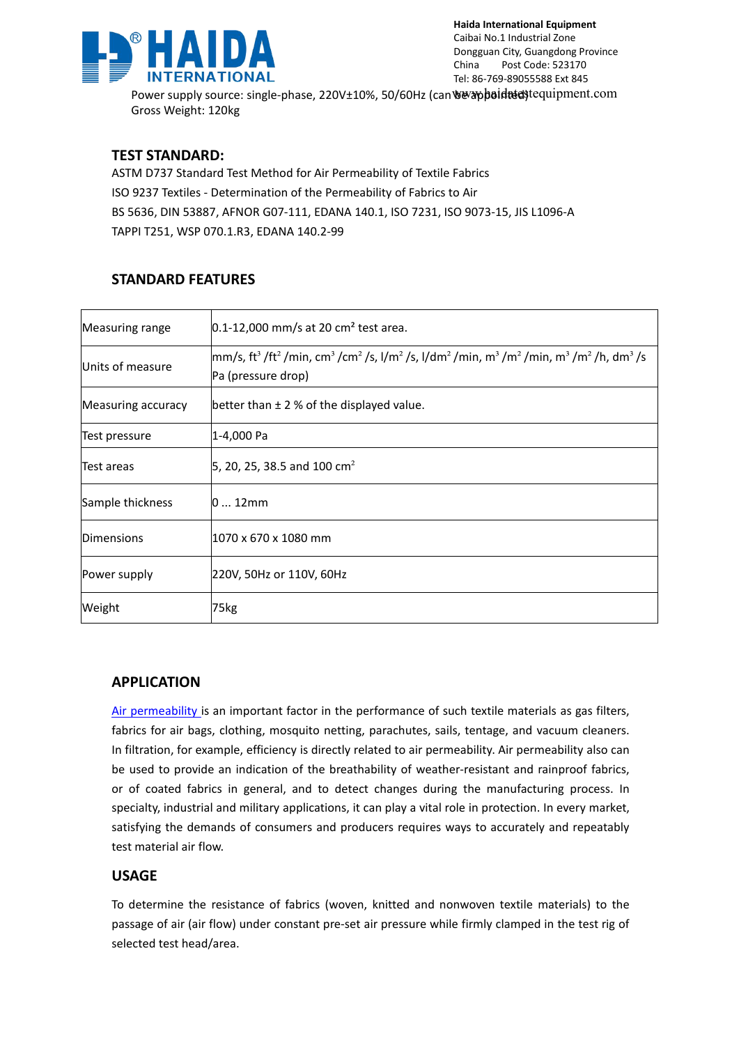

Power supply source: single-phase, 220V±10%, 50/60Hz (can www.phoidetedstequipment.com Gross Weight: 120kg

### **TEST STANDARD:**

ASTM D737 Standard Test Method for Air Permeability of Textile Fabrics ISO 9237 Textiles - Determination of the Permeability of Fabrics to Air BS 5636, DIN 53887, AFNOR G07-111, EDANA 140.1, ISO 7231, ISO 9073-15, JIS L1096-A TAPPI T251, WSP 070.1.R3, EDANA 140.2-99

## **STANDARD FEATURES**

| Measuring range    | $0.1 - 12,000$ mm/s at 20 cm <sup>2</sup> test area.                                                                                                                                                                                                    |  |
|--------------------|---------------------------------------------------------------------------------------------------------------------------------------------------------------------------------------------------------------------------------------------------------|--|
| Units of measure   | $\vert$ mm/s, ft <sup>3</sup> /ft <sup>2</sup> /min, cm <sup>3</sup> /cm <sup>2</sup> /s, l/m <sup>2</sup> /s, l/dm <sup>2</sup> /min, m <sup>3</sup> /m <sup>2</sup> /min, m <sup>3</sup> /m <sup>2</sup> /h, dm <sup>3</sup> /s<br>Pa (pressure drop) |  |
| Measuring accuracy | better than $\pm$ 2 % of the displayed value.                                                                                                                                                                                                           |  |
| Test pressure      | 1-4,000 Pa                                                                                                                                                                                                                                              |  |
| Test areas         | 5, 20, 25, 38.5 and 100 cm <sup>2</sup>                                                                                                                                                                                                                 |  |
| Sample thickness   | $ 012$ mm                                                                                                                                                                                                                                               |  |
| Dimensions         | 1070 x 670 x 1080 mm                                                                                                                                                                                                                                    |  |
| Power supply       | 220V, 50Hz or 110V, 60Hz                                                                                                                                                                                                                                |  |
| Weight             | 75kg                                                                                                                                                                                                                                                    |  |

### **APPLICATION**

Air [permeability](http://www.haidatestequipment.com/product/Air-permeability-testing-equipment-for-textile.htm) is an important factor in the performance of such textile materials as gas filters, fabrics for air bags, clothing, mosquito netting, parachutes, sails, tentage, and vacuum cleaners. In filtration, for example, efficiency is directly related to air permeability. Air permeability also can be used to provide an indication of the breathability of weather-resistant and rainprooffabrics, or of coated fabrics in general, and to detect changes during the manufacturing process. In specialty, industrial and military applications, it can play a vital role in protection. In every market, satisfying the demands of consumers and producers requires ways to accurately and repeatably test material air flow.

### **USAGE**

To determine the resistance of fabrics (woven, knitted and nonwoven textile materials) to the passage of air (air flow) under constant pre-set air pressure while firmly clamped in the test rig of selected test head/area.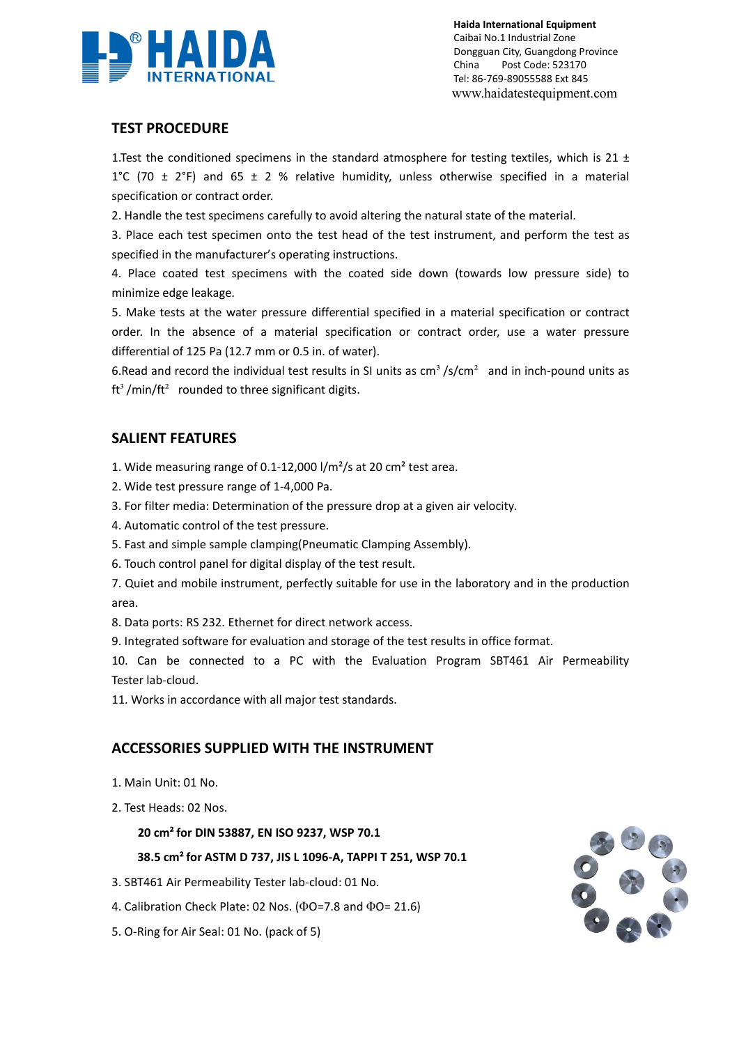

**Haida International Equipment** Caibai No.1 Industrial Zone Dongguan City, Guangdong Province China Post Code: 523170 Tel: 86-769-89055588 Ext 845 www.haidatestequipment.com

## **TEST PROCEDURE**

1.Test the conditioned specimens in the standard atmosphere for testing textiles, which is 21  $\pm$ 1°C (70  $\pm$  2°F) and 65  $\pm$  2 % relative humidity, unless otherwise specified in a material specification or contract order.

2. Handle the test specimens carefully to avoid altering the natural state of the material.

3. Place each test specimen onto the test head of the test instrument, and perform the test as specified in the manufacturer's operating instructions.

4. Place coated test specimens with the coated side down (towards low pressure side) to minimize edge leakage.

5. Make tests at the water pressure differential specified in a material specification or contract order. In the absence of a material specification or contract order, use a water pressure differential of 125 Pa  $(12.7 \text{ mm or } 0.5 \text{ in. of water}).$ 

6.Read and record the individual test results in SI units as  $\text{cm}^3$  /s/cm<sup>2</sup> and in inch-pound units as  $ft<sup>3</sup>$ /min/ft<sup>2</sup> rounded to three significant digits.

## **SALIENT FEATURES**

1. Wide measuring range of 0.1-12,000 l/m<sup>2</sup>/s at 20 cm<sup>2</sup> test area.

- 2. Wide test pressure range of 1-4,000 Pa.
- 3. For filter media: Determination of the pressure drop at a given air velocity.
- 4. Automatic control of the test pressure.
- 5. Fast and simple sample [clamping\(Pneumatic](http://www.haidatestequipment.com/product/Air-permeability-testing-equipment-for-textile.htm) Clamping Assembly).
- 6. Touch control panel for digital display of the test result.
- 7. Quiet and mobile instrument, perfectly suitable for use in the laboratory and in the production area.
- 8. Data ports: RS 232. Ethernet for direct network access.

9. Integrated software for evaluation and storage of the test results in office format.

10. Can be connected to a PC with the Evaluation Program SBT461 Air Permeability Tester lab-cloud.

11. Works in accordance with all major test standards.

### **ACCESSORIES SUPPLIED WITH THE INSTRUMENT**

- 
- 1. Main Unit: 01 No.<br>2. Test Heads: 02 Nos.

#### **20 cm**²**for DIN 53887, EN ISO 9237, WSP 70.1**

#### **38.5 cm**²**for ASTM D 737, JIS L1096-A,TAPPI T 251, WSP 70.1**

- 3. SBT461 Air Permeability Tester lab-cloud: 01 No.
- 4. Calibration Check Plate: 02 Nos. (ΦO=7.8 and ΦO= 21.6)
- 5. O-Ring for Air Seal: 01 No. (pack of 5)

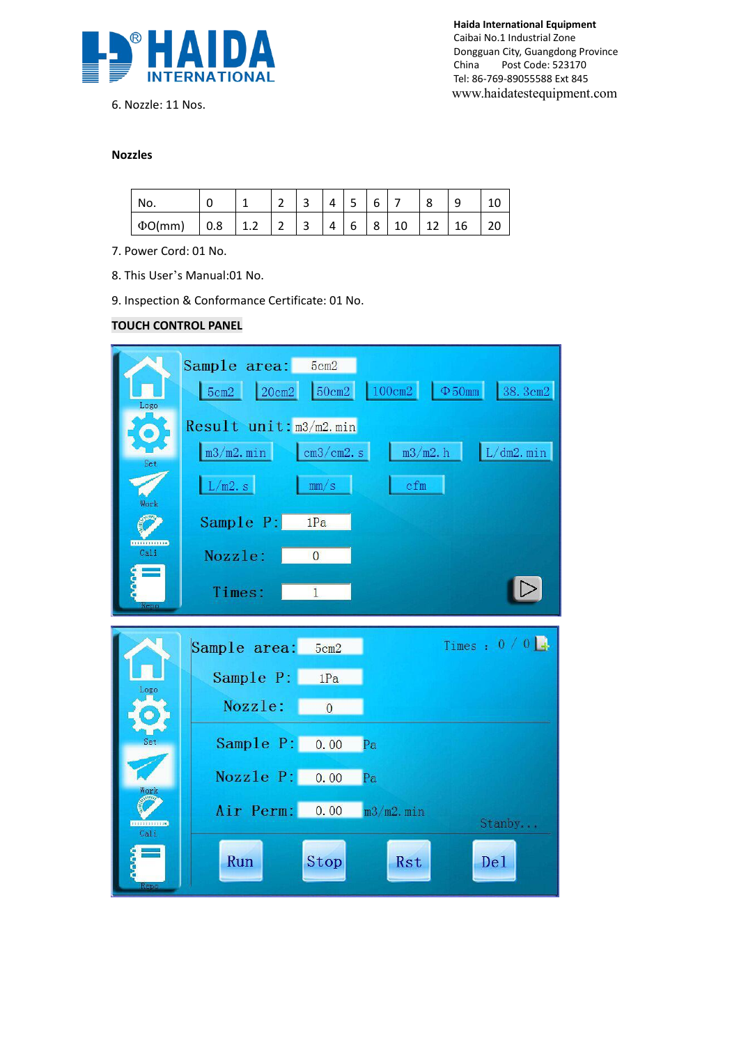

6. Nozzle: 11 Nos.

**Haida International Equipment** Caibai No.1 Industrial Zone Dongguan City, Guangdong Province China Post Code: 523170 Tel: 86-769-89055588 Ext 845 www.haidatestequipment.com

#### **Nozzles**

| No.          |     |               | $\overline{\phantom{0}}$<br>- | $\overline{\phantom{0}}$<br>ັ | 4                      | $\overline{\phantom{0}}$<br>5<br>ັ | 6 |    | Ω            | a<br>۔ | 10 |
|--------------|-----|---------------|-------------------------------|-------------------------------|------------------------|------------------------------------|---|----|--------------|--------|----|
| $\Phi$ O(mm) | 0.8 | ∽<br>1<br>1.Z | $\overline{\phantom{0}}$<br>∸ | $\mathbf{a}$<br>ر             | $\boldsymbol{\Lambda}$ | 6                                  | 8 | 10 | $\sim$<br>ΤŚ | 16     | 20 |

- 7. Power Cord: 01 No.
- 8. This User's Manual:01 No.

9. Inspection & [Conformance](http://www.haidatestequipment.com/product/Air-permeability-testing-equipment-for-textile.htm) Certificate: 01 No.

#### **TOUCH CONTROL PANEL**